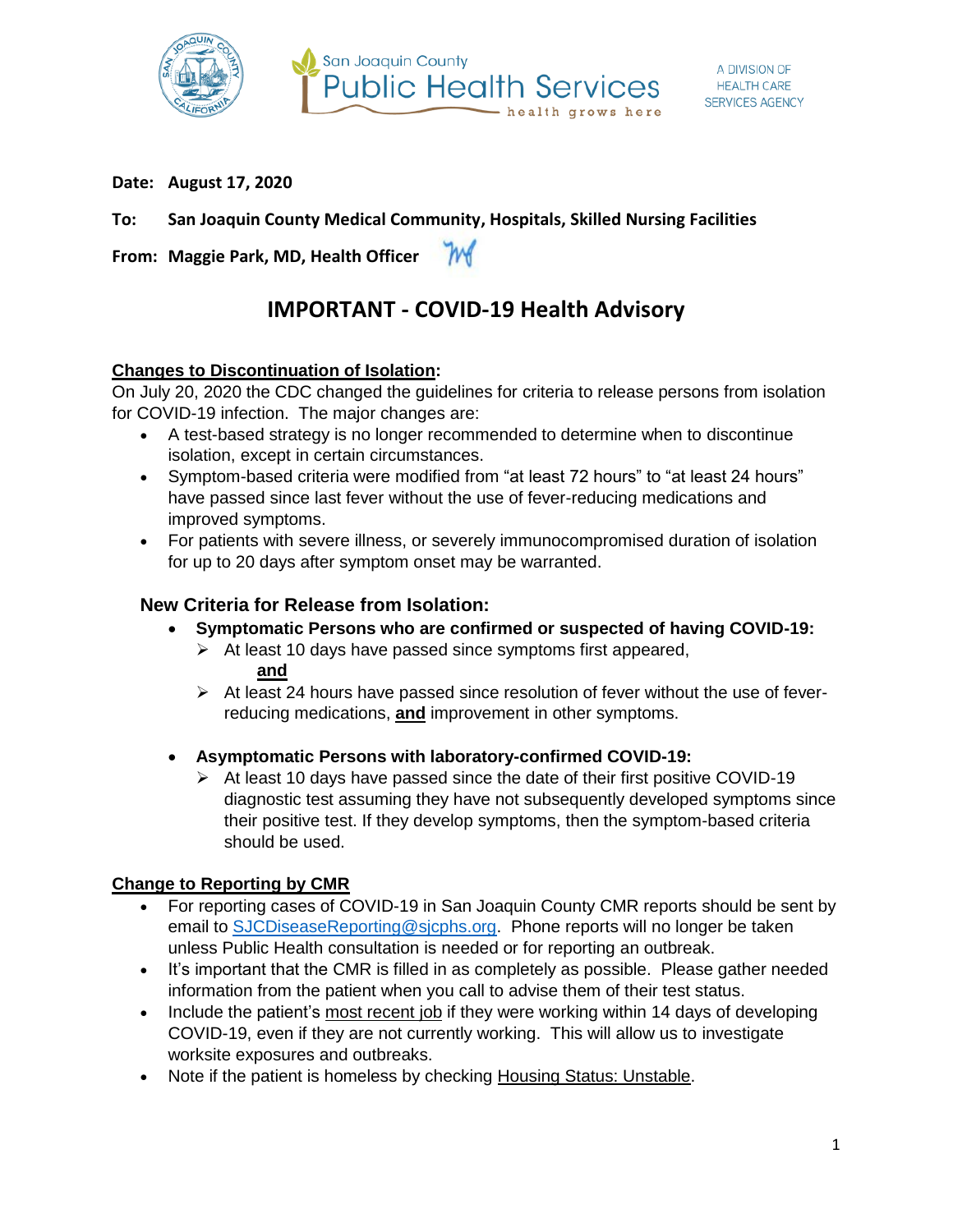

**Date: August 17, 2020**

## **To: San Joaquin County Medical Community, Hospitals, Skilled Nursing Facilities**

**From: Maggie Park, MD, Health Officer** M

# **IMPORTANT - COVID-19 Health Advisory**

### **Changes to Discontinuation of Isolation:**

On July 20, 2020 the CDC changed the guidelines for criteria to release persons from isolation for COVID-19 infection. The major changes are:

- A test-based strategy is no longer recommended to determine when to discontinue isolation, except in certain circumstances.
- Symptom-based criteria were modified from "at least 72 hours" to "at least 24 hours" have passed since last fever without the use of fever-reducing medications and improved symptoms.
- For patients with severe illness, or severely immunocompromised duration of isolation for up to 20 days after symptom onset may be warranted.

## **New Criteria for Release from Isolation:**

- **Symptomatic Persons who are confirmed or suspected of having COVID-19:**
	- $\triangleright$  At least 10 days have passed since symptoms first appeared, **and**
	- $\triangleright$  At least 24 hours have passed since resolution of fever without the use of feverreducing medications, **and** improvement in other symptoms.
- **Asymptomatic Persons with laboratory-confirmed COVID-19:**
	- $\triangleright$  At least 10 days have passed since the date of their first positive COVID-19 diagnostic test assuming they have not subsequently developed symptoms since their positive test. If they develop symptoms, then the symptom-based criteria should be used.

## **Change to Reporting by CMR**

- For reporting cases of COVID-19 in San Joaquin County CMR reports should be sent by email to [SJCDiseaseReporting@sjcphs.org.](mailto:SJCDiseaseReporting@sjcphs.org) Phone reports will no longer be taken unless Public Health consultation is needed or for reporting an outbreak.
- It's important that the CMR is filled in as completely as possible. Please gather needed information from the patient when you call to advise them of their test status.
- Include the patient's most recent job if they were working within 14 days of developing COVID-19, even if they are not currently working. This will allow us to investigate worksite exposures and outbreaks.
- Note if the patient is homeless by checking Housing Status: Unstable.